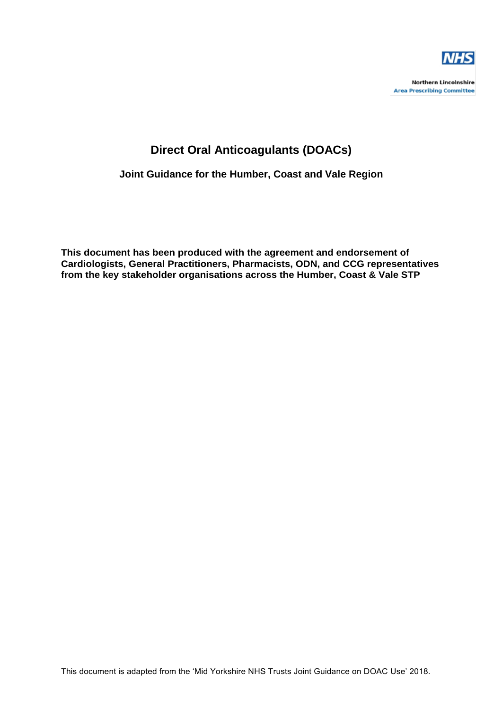

**Northern Lincolnshire Area Prescribing Committee** 

# **Direct Oral Anticoagulants (DOACs)**

**Joint Guidance for the Humber, Coast and Vale Region**

**This document has been produced with the agreement and endorsement of Cardiologists, General Practitioners, Pharmacists, ODN, and CCG representatives from the key stakeholder organisations across the Humber, Coast & Vale STP**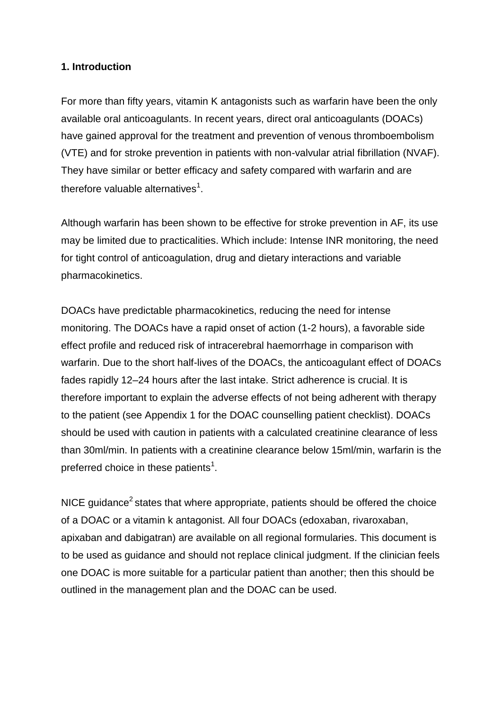#### **1. Introduction**

For more than fifty years, vitamin K antagonists such as warfarin have been the only available oral anticoagulants. In recent years, direct oral anticoagulants (DOACs) have gained approval for the treatment and prevention of venous thromboembolism (VTE) and for stroke prevention in patients with non-valvular atrial fibrillation (NVAF). They have similar or better efficacy and safety compared with warfarin and are therefore valuable alternatives $^1$ .

Although warfarin has been shown to be effective for stroke prevention in AF, its use may be limited due to practicalities. Which include: Intense INR monitoring, the need for tight control of anticoagulation, drug and dietary interactions and variable pharmacokinetics.

DOACs have predictable pharmacokinetics, reducing the need for intense monitoring. The DOACs have a rapid onset of action (1-2 hours), a favorable side effect profile and reduced risk of intracerebral haemorrhage in comparison with warfarin. Due to the short half-lives of the DOACs, the anticoagulant effect of DOACs fades rapidly 12–24 hours after the last intake. Strict adherence is crucial. It is therefore important to explain the adverse effects of not being adherent with therapy to the patient (see Appendix 1 for the DOAC counselling patient checklist). DOACs should be used with caution in patients with a calculated creatinine clearance of less than 30ml/min. In patients with a creatinine clearance below 15ml/min, warfarin is the preferred choice in these patients<sup>1</sup>.

NICE guidance<sup>2</sup> states that where appropriate, patients should be offered the choice of a DOAC or a vitamin k antagonist. All four DOACs (edoxaban, rivaroxaban, apixaban and dabigatran) are available on all regional formularies. This document is to be used as guidance and should not replace clinical judgment. If the clinician feels one DOAC is more suitable for a particular patient than another; then this should be outlined in the management plan and the DOAC can be used.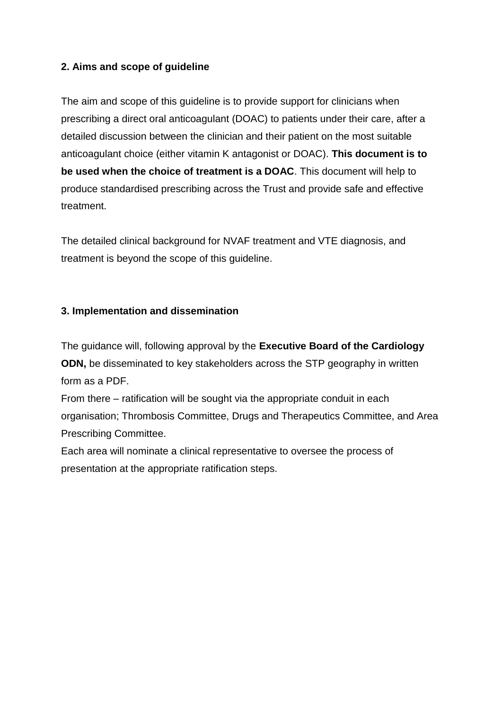## **2. Aims and scope of guideline**

The aim and scope of this guideline is to provide support for clinicians when prescribing a direct oral anticoagulant (DOAC) to patients under their care, after a detailed discussion between the clinician and their patient on the most suitable anticoagulant choice (either vitamin K antagonist or DOAC). **This document is to be used when the choice of treatment is a DOAC**. This document will help to produce standardised prescribing across the Trust and provide safe and effective treatment.

The detailed clinical background for NVAF treatment and VTE diagnosis, and treatment is beyond the scope of this guideline.

## **3. Implementation and dissemination**

The guidance will, following approval by the **Executive Board of the Cardiology ODN,** be disseminated to key stakeholders across the STP geography in written form as a PDF.

From there – ratification will be sought via the appropriate conduit in each organisation; Thrombosis Committee, Drugs and Therapeutics Committee, and Area Prescribing Committee.

Each area will nominate a clinical representative to oversee the process of presentation at the appropriate ratification steps.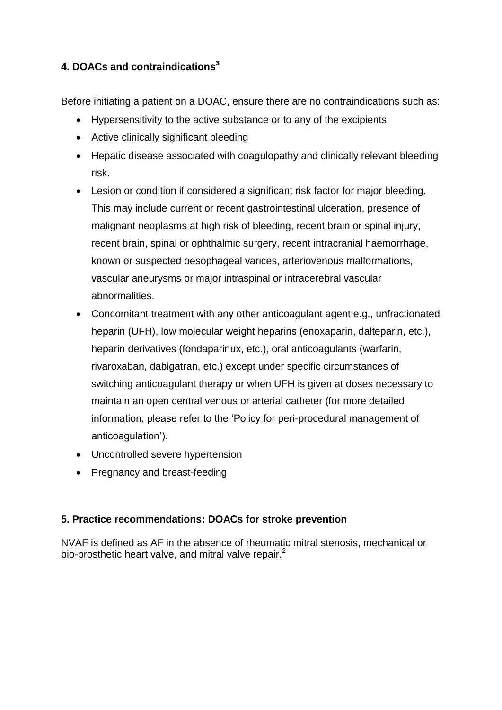# **4. DOACs and contraindications<sup>3</sup>**

Before initiating a patient on a DOAC, ensure there are no contraindications such as:

- Hypersensitivity to the active substance or to any of the excipients
- Active clinically significant bleeding
- Hepatic disease associated with coagulopathy and clinically relevant bleeding risk.
- Lesion or condition if considered a significant risk factor for major bleeding. This may include current or recent gastrointestinal ulceration, presence of malignant neoplasms at high risk of bleeding, recent brain or spinal injury, recent brain, spinal or ophthalmic surgery, recent intracranial haemorrhage, known or suspected oesophageal varices, arteriovenous malformations, vascular aneurysms or major intraspinal or intracerebral vascular abnormalities.
- Concomitant treatment with any other anticoagulant agent e.g., unfractionated heparin (UFH), low molecular weight heparins (enoxaparin, dalteparin, etc.), heparin derivatives (fondaparinux, etc.), oral anticoagulants (warfarin, rivaroxaban, dabigatran, etc.) except under specific circumstances of switching anticoagulant therapy or when UFH is given at doses necessary to maintain an open central venous or arterial catheter (for more detailed information, please refer to the 'Policy for peri-procedural management of anticoagulation').
- Uncontrolled severe hypertension
- Pregnancy and breast-feeding

## **5. Practice recommendations: DOACs for stroke prevention**

NVAF is defined as AF in the absence of rheumatic mitral stenosis, mechanical or bio-prosthetic heart valve, and mitral valve repair.<sup>2</sup>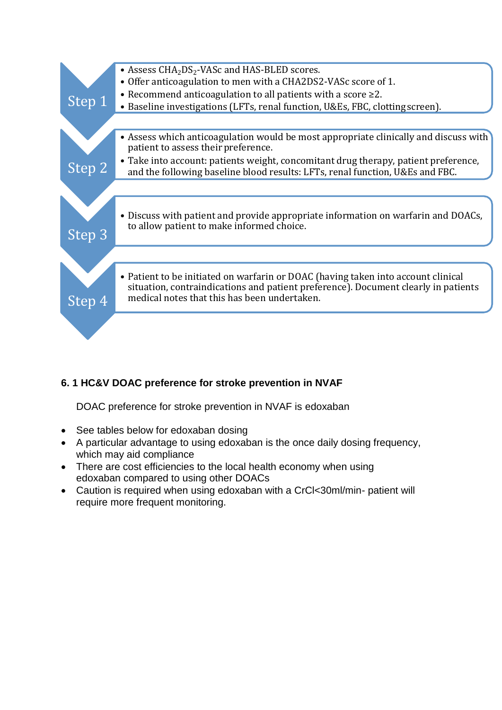

# **6. 1 HC&V DOAC preference for stroke prevention in NVAF**

DOAC preference for stroke prevention in NVAF is edoxaban

- See tables below for edoxaban dosing
- A particular advantage to using edoxaban is the once daily dosing frequency, which may aid compliance
- There are cost efficiencies to the local health economy when using edoxaban compared to using other DOACs
- Caution is required when using edoxaban with a CrCl<30ml/min- patient will require more frequent monitoring.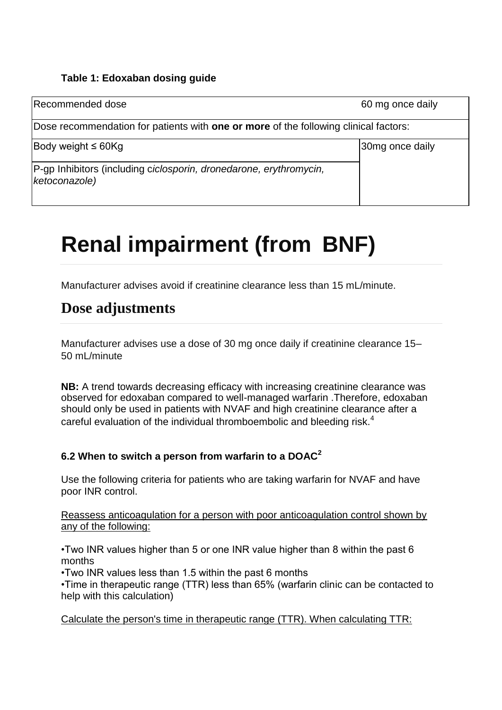#### **Table 1: Edoxaban dosing guide**

| Recommended dose                                                                                                | 60 mg once daily |
|-----------------------------------------------------------------------------------------------------------------|------------------|
| Dose recommendation for patients with <b>one or more</b> of the following clinical factors:                     |                  |
| Body weight $\leq 60$ Kg<br>P-gp Inhibitors (including ciclosporin, dronedarone, erythromycin,<br>ketoconazole) | 30mg once daily  |

# **Renal impairment (from BNF)**

Manufacturer advises avoid if creatinine clearance less than 15 mL/minute.

# **Dose adjustments**

Manufacturer advises use a dose of 30 mg once daily if creatinine clearance 15– 50 mL/minute

**NB:** A trend towards decreasing efficacy with increasing creatinine clearance was observed for edoxaban compared to well-managed warfarin .Therefore, edoxaban should only be used in patients with NVAF and high creatinine clearance after a careful evaluation of the individual thromboembolic and bleeding risk. $4$ 

## **6.2 When to switch a person from warfarin to a DOAC<sup>2</sup>**

Use the following criteria for patients who are taking warfarin for NVAF and have poor INR control.

Reassess anticoagulation for a person with poor anticoagulation control shown by any of the following:

•Two INR values higher than 5 or one INR value higher than 8 within the past 6 months

•Two INR values less than 1.5 within the past 6 months

•Time in therapeutic range (TTR) less than 65% (warfarin clinic can be contacted to help with this calculation)

Calculate the person's time in therapeutic range (TTR). When calculating TTR: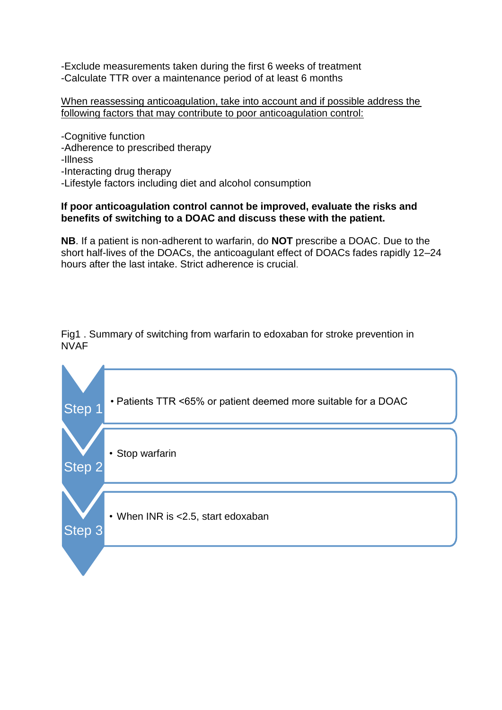-Exclude measurements taken during the first 6 weeks of treatment -Calculate TTR over a maintenance period of at least 6 months

When reassessing anticoagulation, take into account and if possible address the following factors that may contribute to poor anticoagulation control:

-Cognitive function -Adherence to prescribed therapy -Illness -Interacting drug therapy -Lifestyle factors including diet and alcohol consumption

#### **If poor anticoagulation control cannot be improved, evaluate the risks and benefits of switching to a DOAC and discuss these with the patient.**

**NB**. If a patient is non-adherent to warfarin, do **NOT** prescribe a DOAC. Due to the short half-lives of the DOACs, the anticoagulant effect of DOACs fades rapidly 12–24 hours after the last intake. Strict adherence is crucial.

Fig1 . Summary of switching from warfarin to edoxaban for stroke prevention in NVAF

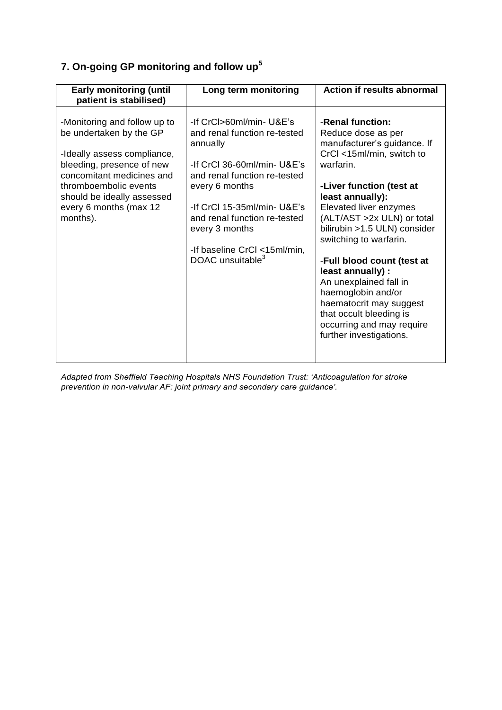# **7. On-going GP monitoring and follow up<sup>5</sup>**

| <b>Early monitoring (until</b><br>patient is stabilised)                                                                                                                                                                                      | Long term monitoring                                                                                                                                                                                                                                                                                   | <b>Action if results abnormal</b>                                                                                                                                                                                                                                                                                                                                                                                                                                                                  |
|-----------------------------------------------------------------------------------------------------------------------------------------------------------------------------------------------------------------------------------------------|--------------------------------------------------------------------------------------------------------------------------------------------------------------------------------------------------------------------------------------------------------------------------------------------------------|----------------------------------------------------------------------------------------------------------------------------------------------------------------------------------------------------------------------------------------------------------------------------------------------------------------------------------------------------------------------------------------------------------------------------------------------------------------------------------------------------|
| -Monitoring and follow up to<br>be undertaken by the GP<br>-Ideally assess compliance,<br>bleeding, presence of new<br>concomitant medicines and<br>thromboembolic events<br>should be ideally assessed<br>every 6 months (max 12<br>months). | -If CrCl>60ml/min- U&E's<br>and renal function re-tested<br>annually<br>-If CrCl 36-60ml/min- U&E's<br>and renal function re-tested<br>every 6 months<br>-If CrCl 15-35ml/min- U&E's<br>and renal function re-tested<br>every 3 months<br>-If baseline CrCl <15ml/min,<br>DOAC unsuitable <sup>3</sup> | -Renal function:<br>Reduce dose as per<br>manufacturer's guidance. If<br>CrCl <15ml/min, switch to<br>warfarin.<br>-Liver function (test at<br>least annually):<br>Elevated liver enzymes<br>(ALT/AST >2x ULN) or total<br>bilirubin >1.5 ULN) consider<br>switching to warfarin.<br>-Full blood count (test at<br>least annually) :<br>An unexplained fall in<br>haemoglobin and/or<br>haematocrit may suggest<br>that occult bleeding is<br>occurring and may require<br>further investigations. |

*Adapted from Sheffield Teaching Hospitals NHS Foundation Trust: 'Anticoagulation for stroke prevention in non-valvular AF: joint primary and secondary care guidance'.*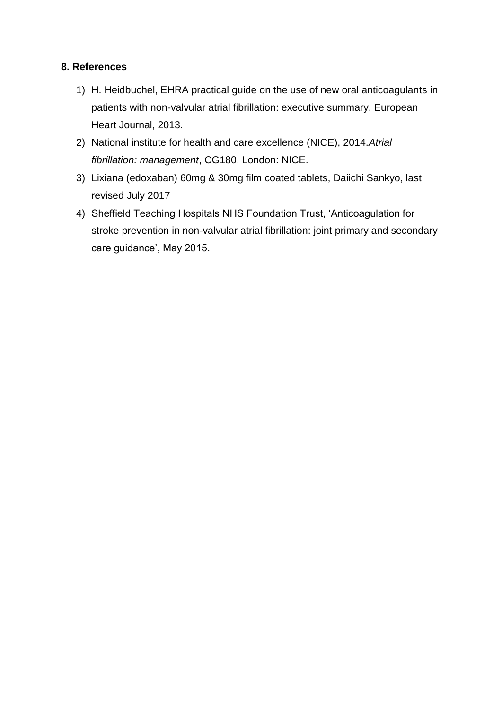#### **8. References**

- 1) H. Heidbuchel, EHRA practical guide on the use of new oral anticoagulants in patients with non-valvular atrial fibrillation: executive summary. European Heart Journal, 2013.
- 2) National institute for health and care excellence (NICE), 2014.*Atrial fibrillation: management*, CG180. London: NICE.
- 3) Lixiana (edoxaban) 60mg & 30mg film coated tablets, Daiichi Sankyo, last revised July 2017
- 4) Sheffield Teaching Hospitals NHS Foundation Trust, 'Anticoagulation for stroke prevention in non-valvular atrial fibrillation: joint primary and secondary care guidance', May 2015.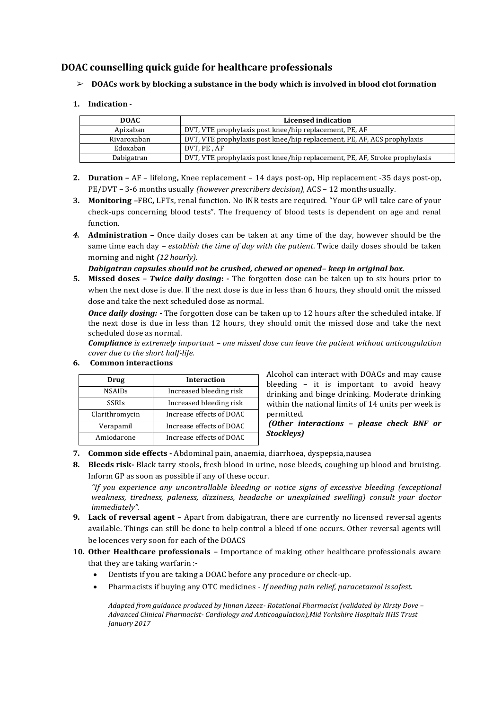#### **DOAC counselling quick guide for healthcare professionals**

#### ➢ **DOACs work by blocking a substance in the body which is involved in blood clotformation**

**1. Indication** -

| <b>DOAC</b> | Licensed indication                                                        |
|-------------|----------------------------------------------------------------------------|
| Apixaban    | DVT, VTE prophylaxis post knee/hip replacement, PE, AF                     |
| Rivaroxaban | DVT, VTE prophylaxis post knee/hip replacement, PE, AF, ACS prophylaxis    |
| Edoxaban    | DVT. PE . AF                                                               |
| Dabigatran  | DVT, VTE prophylaxis post knee/hip replacement, PE, AF, Stroke prophylaxis |

- **2. Duration –** AF lifelong**,** Knee replacement 14 days post-op, Hip replacement -35 days post-op, PE/DVT – 3-6 months usually *(however prescribers decision),* ACS – 12 monthsusually.
- **3. Monitoring –**FBC**,** LFTs, renal function. No INR tests are required. "Your GP will take care of your check-ups concerning blood tests". The frequency of blood tests is dependent on age and renal function.
- *4.* **Administration –** Once daily doses can be taken at any time of the day, however should be the same time each day *– establish the time of day with the patient*. Twice daily doses should be taken morning and night *(12 hourly).*

#### *Dabigatran capsules should not be crushed, chewed or opened– keep in original box.*

**5. Missed doses –** *Twice daily dosing***: -** The forgotten dose can be taken up to six hours prior to when the next dose is due. If the next dose is due in less than 6 hours, they should omit the missed dose and take the next scheduled dose as normal.

*Once daily dosing: -* The forgotten dose can be taken up to 12 hours after the scheduled intake. If the next dose is due in less than 12 hours, they should omit the missed dose and take the next scheduled dose as normal.

*Compliance is extremely important – one missed dose can leave the patient without anticoagulation cover due to the short half-life.*

| Drug           | <b>Interaction</b>       |  |
|----------------|--------------------------|--|
| <b>NSAIDs</b>  | Increased bleeding risk  |  |
| <b>SSRIs</b>   | Increased bleeding risk  |  |
| Clarithromycin | Increase effects of DOAC |  |
| Verapamil      | Increase effects of DOAC |  |
| Amiodarone     | Increase effects of DOAC |  |

#### **6. Common interactions**

Alcohol can interact with DOACs and may cause bleeding – it is important to avoid heavy drinking and binge drinking. Moderate drinking within the national limits of 14 units per week is permitted.

*(Other interactions – please check BNF or Stockleys)*

#### **7. Common side effects -** Abdominal pain, anaemia, diarrhoea, dyspepsia,nausea

**8. Bleeds risk-** Black tarry stools, fresh blood in urine, nose bleeds, coughing up blood and bruising. Inform GP as soon as possible if any of these occur.

*"If you experience any uncontrollable bleeding or notice signs of excessive bleeding (exceptional weakness, tiredness, paleness, dizziness, headache or unexplained swelling) consult your doctor immediately".*

- **9. Lack of reversal agent**  Apart from dabigatran, there are currently no licensed reversal agents available. Things can still be done to help control a bleed if one occurs. Other reversal agents will be locences very soon for each of the DOACS
- **10. Other Healthcare professionals –** Importance of making other healthcare professionals aware that they are taking warfarin :-
	- Dentists if you are taking a DOAC before any procedure or check-up.
	- Pharmacists if buying any OTC medicines *- If needing pain relief, paracetamol issafest.*

*Adapted from guidance produced by Jinnan Azeez- Rotational Pharmacist (validated by Kirsty Dove – Advanced Clinical Pharmacist- Cardiology and Anticoagulation),Mid Yorkshire Hospitals NHS Trust January 2017*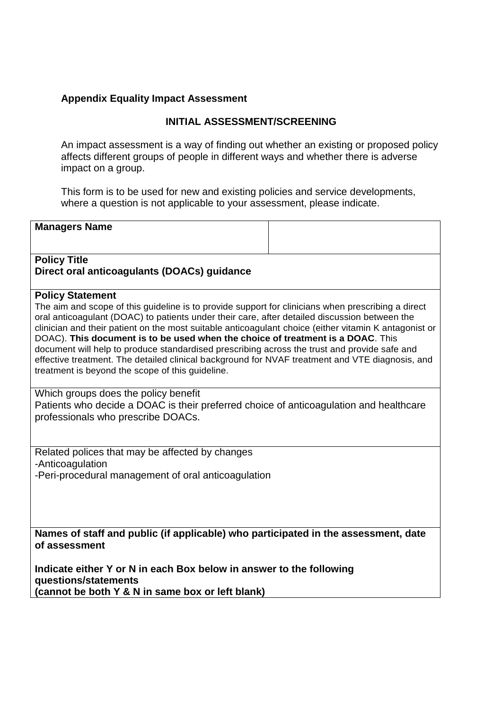#### **Appendix Equality Impact Assessment**

#### **INITIAL ASSESSMENT/SCREENING**

An impact assessment is a way of finding out whether an existing or proposed policy affects different groups of people in different ways and whether there is adverse impact on a group.

This form is to be used for new and existing policies and service developments, where a question is not applicable to your assessment, please indicate.

#### **Managers Name**

#### **Policy Title Direct oral anticoagulants (DOACs) guidance**

#### **Policy Statement**

The aim and scope of this guideline is to provide support for clinicians when prescribing a direct oral anticoagulant (DOAC) to patients under their care, after detailed discussion between the clinician and their patient on the most suitable anticoagulant choice (either vitamin K antagonist or DOAC). **This document is to be used when the choice of treatment is a DOAC**. This document will help to produce standardised prescribing across the trust and provide safe and effective treatment. The detailed clinical background for NVAF treatment and VTE diagnosis, and treatment is beyond the scope of this guideline.

Which groups does the policy benefit Patients who decide a DOAC is their preferred choice of anticoagulation and healthcare professionals who prescribe DOACs.

Related polices that may be affected by changes -Anticoagulation -Peri-procedural management of oral anticoagulation

**Names of staff and public (if applicable) who participated in the assessment, date of assessment**

**Indicate either Y or N in each Box below in answer to the following questions/statements (cannot be both Y & N in same box or left blank)**